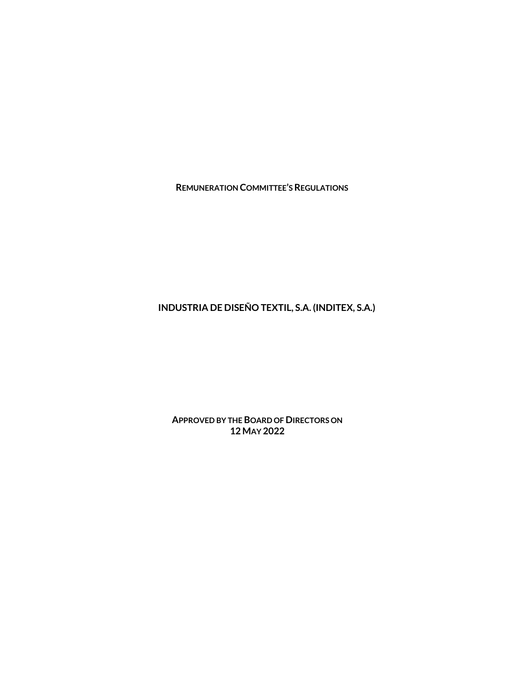**REMUNERATION COMMITTEE'S REGULATIONS**

**INDUSTRIA DE DISEÑO TEXTIL, S.A. (INDITEX, S.A.)**

**APPROVED BY THE BOARD OF DIRECTORS ON 12 MAY 2022**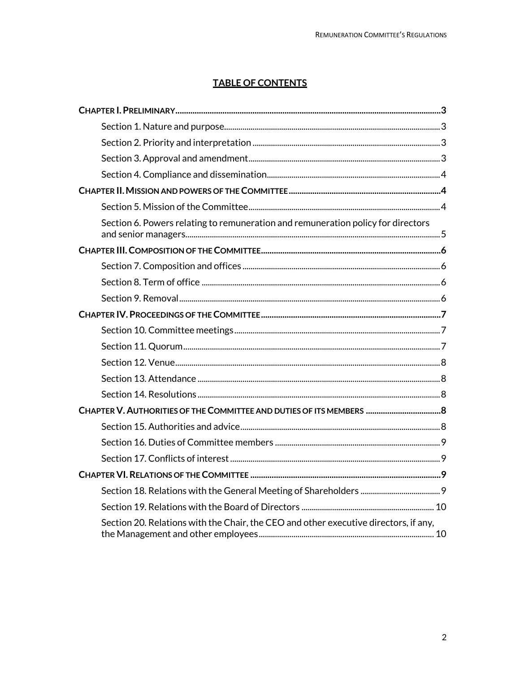# **TABLE OF CONTENTS**

| Section 6. Powers relating to remuneration and remuneration policy for directors     |  |
|--------------------------------------------------------------------------------------|--|
|                                                                                      |  |
|                                                                                      |  |
|                                                                                      |  |
|                                                                                      |  |
|                                                                                      |  |
|                                                                                      |  |
|                                                                                      |  |
|                                                                                      |  |
|                                                                                      |  |
|                                                                                      |  |
| CHAPTER V. AUTHORITIES OF THE COMMITTEE AND DUTIES OF ITS MEMBERS  8                 |  |
|                                                                                      |  |
|                                                                                      |  |
|                                                                                      |  |
|                                                                                      |  |
|                                                                                      |  |
|                                                                                      |  |
| Section 20. Relations with the Chair, the CEO and other executive directors, if any, |  |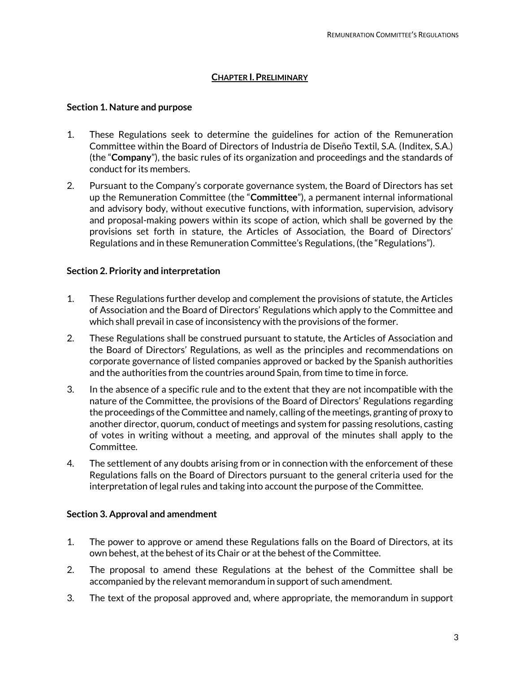# **CHAPTER I.PRELIMINARY**

### <span id="page-2-1"></span><span id="page-2-0"></span>**Section 1. Nature and purpose**

- 1. These Regulations seek to determine the guidelines for action of the Remuneration Committee within the Board of Directors of Industria de Diseño Textil, S.A. (Inditex, S.A.) (the "**Company**"), the basic rules of its organization and proceedings and the standards of conduct for its members.
- 2. Pursuant to the Company's corporate governance system, the Board of Directors has set up the Remuneration Committee (the "**Committee**"), a permanent internal informational and advisory body, without executive functions, with information, supervision, advisory and proposal-making powers within its scope of action, which shall be governed by the provisions set forth in stature, the Articles of Association, the Board of Directors' Regulations and in these Remuneration Committee's Regulations, (the "Regulations").

# <span id="page-2-2"></span>**Section 2. Priority and interpretation**

- 1. These Regulations further develop and complement the provisions of statute, the Articles of Association and the Board of Directors' Regulations which apply to the Committee and which shall prevail in case of inconsistency with the provisions of the former.
- 2. These Regulations shall be construed pursuant to statute, the Articles of Association and the Board of Directors' Regulations, as well as the principles and recommendations on corporate governance of listed companies approved or backed by the Spanish authorities and the authorities from the countries around Spain, from time to time in force.
- 3. In the absence of a specific rule and to the extent that they are not incompatible with the nature of the Committee, the provisions of the Board of Directors' Regulations regarding the proceedings of the Committee and namely, calling of the meetings, granting of proxy to another director, quorum, conduct of meetings and system for passing resolutions, casting of votes in writing without a meeting, and approval of the minutes shall apply to the Committee.
- 4. The settlement of any doubts arising from or in connection with the enforcement of these Regulations falls on the Board of Directors pursuant to the general criteria used for the interpretation of legal rules and taking into account the purpose of the Committee.

### <span id="page-2-3"></span>**Section 3. Approval and amendment**

- 1. The power to approve or amend these Regulations falls on the Board of Directors, at its own behest, at the behest of its Chair or at the behest of the Committee.
- 2. The proposal to amend these Regulations at the behest of the Committee shall be accompanied by the relevant memorandum in support of such amendment.
- 3. The text of the proposal approved and, where appropriate, the memorandum in support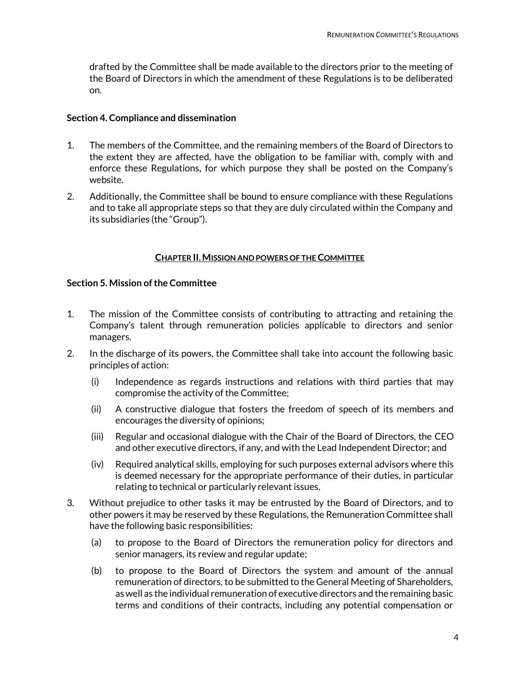drafted by the Committee shall be made available to the directors prior to the meeting of the Board of Directors in which the amendment of these Regulations is to be deliberated on.

### <span id="page-3-0"></span>**Section 4. Compliance and dissemination**

- 1. The members of the Committee, and the remaining members of the Board of Directors to the extent they are affected, have the obligation to be familiar with, comply with and enforce these Regulations, for which purpose they shall be posted on the Company's website.
- 2. Additionally, the Committee shall be bound to ensure compliance with these Regulations and to take all appropriate steps so that they are duly circulated within the Company and its subsidiaries (the "Group").

### **CHAPTER II.MISSION AND POWERS OF THE COMMITTEE**

# <span id="page-3-2"></span><span id="page-3-1"></span>**Section 5. Mission of the Committee**

- 1. The mission of the Committee consists of contributing to attracting and retaining the Company's talent through remuneration policies applicable to directors and senior managers.
- 2. In the discharge of its powers, the Committee shall take into account the following basic principles of action:
	- (i) Independence as regards instructions and relations with third parties that may compromise the activity of the Committee;
	- (ii) A constructive dialogue that fosters the freedom of speech of its members and encourages the diversity of opinions;
	- (iii) Regular and occasional dialogue with the Chair of the Board of Directors, the CEO and other executive directors, if any, and with the Lead Independent Director; and
	- (iv) Required analytical skills, employing for such purposes external advisors where this is deemed necessary for the appropriate performance of their duties, in particular relating to technical or particularly relevant issues.
- 3. Without prejudice to other tasks it may be entrusted by the Board of Directors, and to other powers it may be reserved by these Regulations, the Remuneration Committee shall have the following basic responsibilities:
	- (a) to propose to the Board of Directors the remuneration policy for directors and senior managers, its review and regular update;
	- (b) to propose to the Board of Directors the system and amount of the annual remuneration of directors, to be submitted to the General Meeting of Shareholders, as well as the individual remuneration of executive directors and the remaining basic terms and conditions of their contracts, including any potential compensation or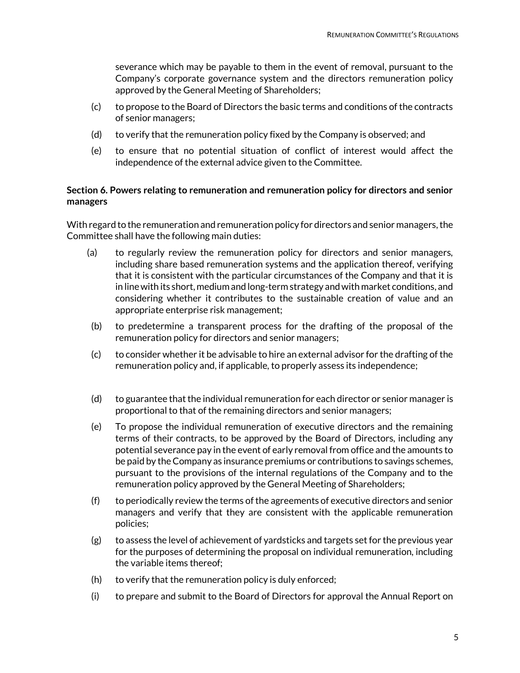severance which may be payable to them in the event of removal, pursuant to the Company's corporate governance system and the directors remuneration policy approved by the General Meeting of Shareholders;

- (c) to propose to the Board of Directors the basic terms and conditions of the contracts of senior managers;
- (d) to verify that the remuneration policy fixed by the Company is observed; and
- (e) to ensure that no potential situation of conflict of interest would affect the independence of the external advice given to the Committee.

# <span id="page-4-0"></span>**Section 6. Powers relating to remuneration and remuneration policy for directors and senior managers**

With regard to the remuneration and remuneration policy for directors and senior managers, the Committee shall have the following main duties:

- (a) to regularly review the remuneration policy for directors and senior managers, including share based remuneration systems and the application thereof, verifying that it is consistent with the particular circumstances of the Company and that it is in line with its short, medium and long-term strategy and with market conditions, and considering whether it contributes to the sustainable creation of value and an appropriate enterprise risk management;
- (b) to predetermine a transparent process for the drafting of the proposal of the remuneration policy for directors and senior managers;
- (c) to consider whether it be advisable to hire an external advisor for the drafting of the remuneration policy and, if applicable, to properly assess its independence;
- (d) to guarantee that the individual remuneration for each director or senior manager is proportional to that of the remaining directors and senior managers;
- (e) To propose the individual remuneration of executive directors and the remaining terms of their contracts, to be approved by the Board of Directors, including any potential severance pay in the event of early removal from office and the amounts to be paid by the Company as insurance premiums or contributions to savings schemes, pursuant to the provisions of the internal regulations of the Company and to the remuneration policy approved by the General Meeting of Shareholders;
- (f) to periodically review the terms of the agreements of executive directors and senior managers and verify that they are consistent with the applicable remuneration policies;
- $(g)$  to assess the level of achievement of yardsticks and targets set for the previous year for the purposes of determining the proposal on individual remuneration, including the variable items thereof;
- (h) to verify that the remuneration policy is duly enforced;
- (i) to prepare and submit to the Board of Directors for approval the Annual Report on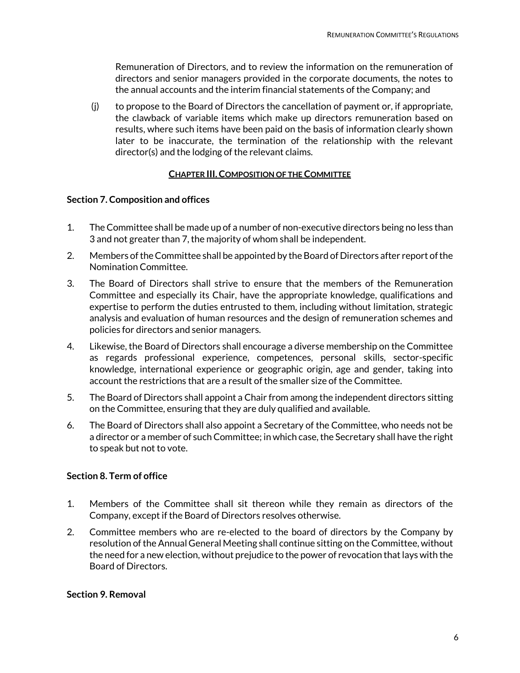Remuneration of Directors, and to review the information on the remuneration of directors and senior managers provided in the corporate documents, the notes to the annual accounts and the interim financial statements of the Company; and

(j) to propose to the Board of Directors the cancellation of payment or, if appropriate, the clawback of variable items which make up directors remuneration based on results, where such items have been paid on the basis of information clearly shown later to be inaccurate, the termination of the relationship with the relevant director(s) and the lodging of the relevant claims.

# **CHAPTER III.COMPOSITION OF THE COMMITTEE**

# <span id="page-5-1"></span><span id="page-5-0"></span>**Section 7. Composition and offices**

- 1. The Committee shall be made up of a number of non-executive directors being no less than 3 and not greater than 7, the majority of whom shall be independent.
- 2. Members of the Committee shall be appointed by the Board of Directors after report of the Nomination Committee.
- 3. The Board of Directors shall strive to ensure that the members of the Remuneration Committee and especially its Chair, have the appropriate knowledge, qualifications and expertise to perform the duties entrusted to them, including without limitation, strategic analysis and evaluation of human resources and the design of remuneration schemes and policies for directors and senior managers.
- 4. Likewise, the Board of Directors shall encourage a diverse membership on the Committee as regards professional experience, competences, personal skills, sector-specific knowledge, international experience or geographic origin, age and gender, taking into account the restrictions that are a result of the smaller size of the Committee.
- 5. The Board of Directors shall appoint a Chair from among the independent directors sitting on the Committee, ensuring that they are duly qualified and available.
- 6. The Board of Directors shall also appoint a Secretary of the Committee, who needs not be a director or a member of such Committee; in which case, the Secretary shall have the right to speak but not to vote.

# <span id="page-5-2"></span>**Section 8. Term of office**

- 1. Members of the Committee shall sit thereon while they remain as directors of the Company, except if the Board of Directors resolves otherwise.
- 2. Committee members who are re-elected to the board of directors by the Company by resolution of the Annual General Meeting shall continue sitting on the Committee, without the need for a new election, without prejudice to the power of revocation that lays with the Board of Directors.

# <span id="page-5-3"></span>**Section 9. Removal**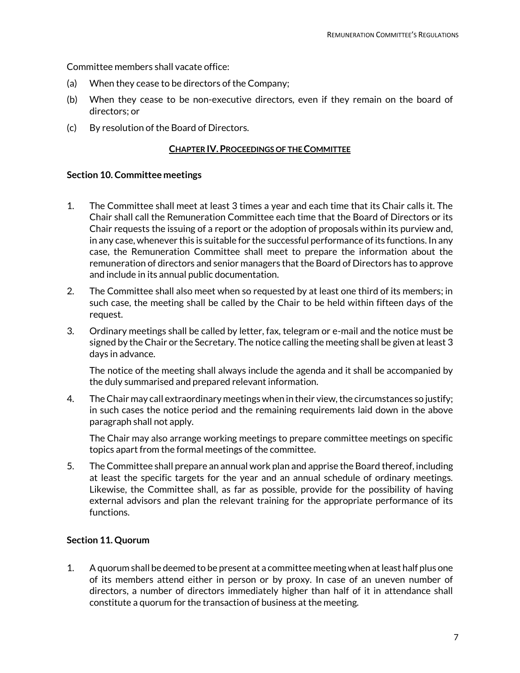Committee members shall vacate office:

- (a) When they cease to be directors of the Company;
- (b) When they cease to be non-executive directors, even if they remain on the board of directors; or
- <span id="page-6-0"></span>(c) By resolution of the Board of Directors.

#### **CHAPTER IV.PROCEEDINGS OF THE COMMITTEE**

#### <span id="page-6-1"></span>**Section 10. Committee meetings**

- 1. The Committee shall meet at least 3 times a year and each time that its Chair calls it. The Chair shall call the Remuneration Committee each time that the Board of Directors or its Chair requests the issuing of a report or the adoption of proposals within its purview and, in any case, whenever this is suitable for the successful performance of its functions. In any case, the Remuneration Committee shall meet to prepare the information about the remuneration of directors and senior managers that the Board of Directors has to approve and include in its annual public documentation.
- 2. The Committee shall also meet when so requested by at least one third of its members; in such case, the meeting shall be called by the Chair to be held within fifteen days of the request.
- 3. Ordinary meetings shall be called by letter, fax, telegram or e-mail and the notice must be signed by the Chair or the Secretary. The notice calling the meeting shall be given at least 3 days in advance.

The notice of the meeting shall always include the agenda and it shall be accompanied by the duly summarised and prepared relevant information.

4. The Chair may call extraordinary meetings when in their view, the circumstances so justify; in such cases the notice period and the remaining requirements laid down in the above paragraph shall not apply.

The Chair may also arrange working meetings to prepare committee meetings on specific topics apart from the formal meetings of the committee.

5. The Committee shall prepare an annual work plan and apprise the Board thereof, including at least the specific targets for the year and an annual schedule of ordinary meetings. Likewise, the Committee shall, as far as possible, provide for the possibility of having external advisors and plan the relevant training for the appropriate performance of its functions.

### <span id="page-6-2"></span>**Section 11. Quorum**

1. A quorum shall be deemed to be present at a committee meeting when at least half plus one of its members attend either in person or by proxy. In case of an uneven number of directors, a number of directors immediately higher than half of it in attendance shall constitute a quorum for the transaction of business at the meeting.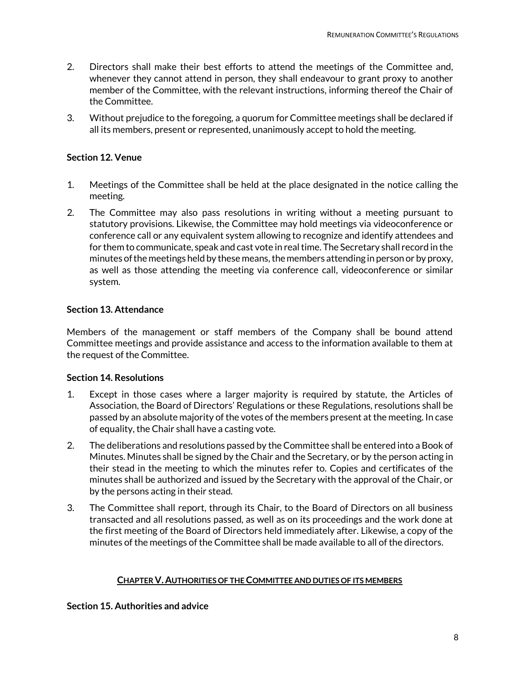- 2. Directors shall make their best efforts to attend the meetings of the Committee and, whenever they cannot attend in person, they shall endeavour to grant proxy to another member of the Committee, with the relevant instructions, informing thereof the Chair of the Committee.
- 3. Without prejudice to the foregoing, a quorum for Committee meetings shall be declared if all its members, present or represented, unanimously accept to hold the meeting.

# <span id="page-7-0"></span>**Section 12. Venue**

- 1. Meetings of the Committee shall be held at the place designated in the notice calling the meeting.
- 2. The Committee may also pass resolutions in writing without a meeting pursuant to statutory provisions. Likewise, the Committee may hold meetings via videoconference or conference call or any equivalent system allowing to recognize and identify attendees and for them to communicate, speak and cast vote in real time. The Secretary shall record in the minutes of the meetings held by these means, the members attending in person or by proxy, as well as those attending the meeting via conference call, videoconference or similar system.

# <span id="page-7-1"></span>**Section 13. Attendance**

Members of the management or staff members of the Company shall be bound attend Committee meetings and provide assistance and access to the information available to them at the request of the Committee.

# <span id="page-7-2"></span>**Section 14. Resolutions**

- 1. Except in those cases where a larger majority is required by statute, the Articles of Association, the Board of Directors' Regulations or these Regulations, resolutions shall be passed by an absolute majority of the votes of the members present at the meeting. In case of equality, the Chair shall have a casting vote.
- 2. The deliberations and resolutions passed by the Committee shall be entered into a Book of Minutes. Minutes shall be signed by the Chair and the Secretary, or by the person acting in their stead in the meeting to which the minutes refer to. Copies and certificates of the minutes shall be authorized and issued by the Secretary with the approval of the Chair, or by the persons acting in their stead.
- 3. The Committee shall report, through its Chair, to the Board of Directors on all business transacted and all resolutions passed, as well as on its proceedings and the work done at the first meeting of the Board of Directors held immediately after. Likewise, a copy of the minutes of the meetings of the Committee shall be made available to all of the directors.

# **CHAPTER V. AUTHORITIES OF THE COMMITTEE AND DUTIES OF ITS MEMBERS**

<span id="page-7-4"></span><span id="page-7-3"></span>**Section 15. Authorities and advice**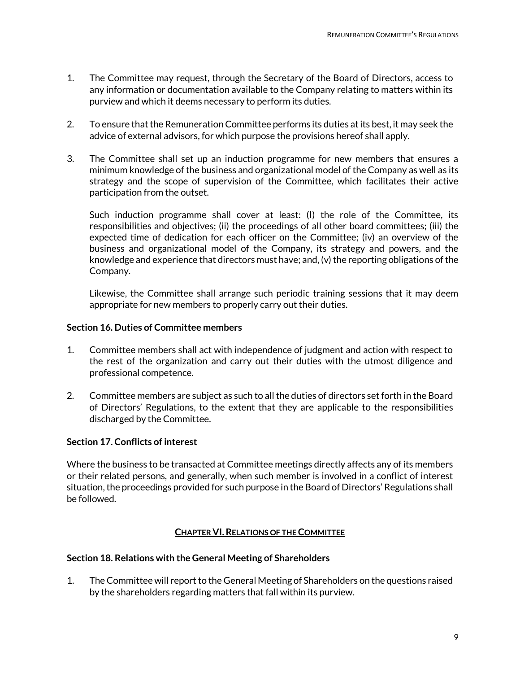- 1. The Committee may request, through the Secretary of the Board of Directors, access to any information or documentation available to the Company relating to matters within its purview and which it deems necessary to perform its duties.
- 2. To ensure that the Remuneration Committee performs its duties at its best, it may seek the advice of external advisors, for which purpose the provisions hereof shall apply.
- 3. The Committee shall set up an induction programme for new members that ensures a minimum knowledge of the business and organizational model of the Company as well as its strategy and the scope of supervision of the Committee, which facilitates their active participation from the outset.

Such induction programme shall cover at least: (I) the role of the Committee, its responsibilities and objectives; (ii) the proceedings of all other board committees; (iii) the expected time of dedication for each officer on the Committee; (iv) an overview of the business and organizational model of the Company, its strategy and powers, and the knowledge and experience that directors must have; and, (v) the reporting obligations of the Company.

Likewise, the Committee shall arrange such periodic training sessions that it may deem appropriate for new members to properly carry out their duties.

# <span id="page-8-0"></span>**Section 16. Duties of Committee members**

- 1. Committee members shall act with independence of judgment and action with respect to the rest of the organization and carry out their duties with the utmost diligence and professional competence.
- 2. Committee members are subject as such to all the duties of directors set forth in the Board of Directors' Regulations, to the extent that they are applicable to the responsibilities discharged by the Committee.

### <span id="page-8-1"></span>**Section 17. Conflicts of interest**

Where the business to be transacted at Committee meetings directly affects any of its members or their related persons, and generally, when such member is involved in a conflict of interest situation, the proceedings provided for such purpose in the Board of Directors' Regulations shall be followed.

# **CHAPTER VI.RELATIONS OF THE COMMITTEE**

### <span id="page-8-3"></span><span id="page-8-2"></span>**Section 18. Relations with the General Meeting of Shareholders**

1. The Committee will report to the General Meeting of Shareholders on the questions raised by the shareholders regarding matters that fall within its purview.